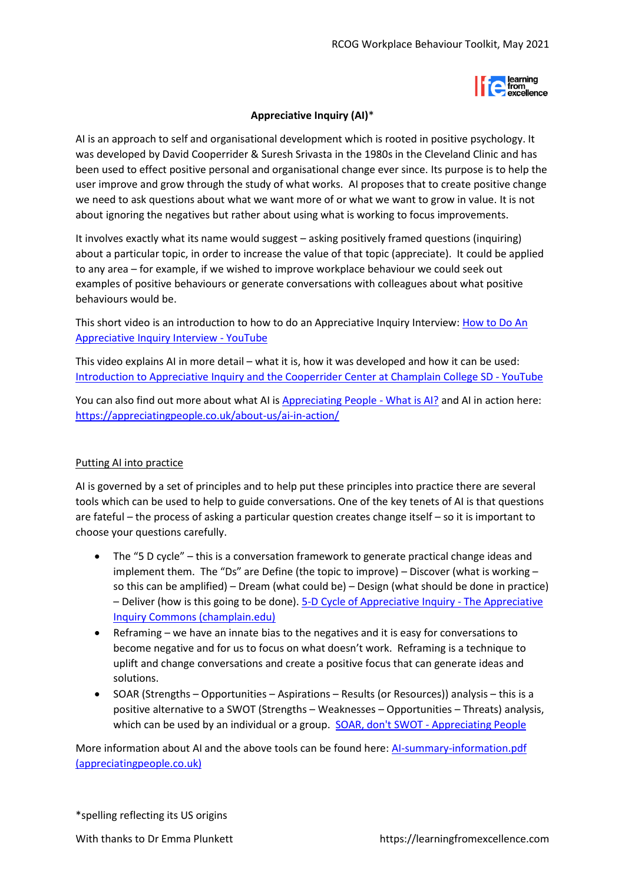

## **Appreciative Inquiry (AI)**\*

AI is an approach to self and organisational development which is rooted in positive psychology. It was developed by David Cooperrider & Suresh Srivasta in the 1980s in the Cleveland Clinic and has been used to effect positive personal and organisational change ever since. Its purpose is to help the user improve and grow through the study of what works. AI proposes that to create positive change we need to ask questions about what we want more of or what we want to grow in value. It is not about ignoring the negatives but rather about using what is working to focus improvements.

It involves exactly what its name would suggest – asking positively framed questions (inquiring) about a particular topic, in order to increase the value of that topic (appreciate). It could be applied to any area – for example, if we wished to improve workplace behaviour we could seek out examples of positive behaviours or generate conversations with colleagues about what positive behaviours would be.

This short video is an introduction to how to do an Appreciative Inquiry Interview: [How to Do An](https://www.youtube.com/watch?v=8P2xVpH0uTI)  [Appreciative Inquiry Interview -](https://www.youtube.com/watch?v=8P2xVpH0uTI) YouTube

This video explains AI in more detail – what it is, how it was developed and how it can be used: [Introduction to Appreciative Inquiry and the Cooperrider Center at Champlain College SD -](https://www.youtube.com/watch?v=SR7cfUtm2P0) YouTube

You can also find out more about what AI is [Appreciating People -](https://appreciatingpeople.co.uk/what-is-ai/) What is AI? and AI in action here: [https://appreciatingpeople.co.uk/about-us/ai-in-action/](https://appreciatingpeople.co.uk/about-us/ai-in-action/*)

## Putting AI into practice

AI is governed by a set of principles and to help put these principles into practice there are several tools which can be used to help to guide conversations. One of the key tenets of AI is that questions are fateful – the process of asking a particular question creates change itself – so it is important to choose your questions carefully.

- The "5 D cycle" this is a conversation framework to generate practical change ideas and implement them. The "Ds" are Define (the topic to improve) – Discover (what is working – so this can be amplified) – Dream (what could be) – Design (what should be done in practice) – Deliver (how is this going to be done). [5-D Cycle of Appreciative Inquiry -](https://appreciativeinquiry.champlain.edu/learn/appreciative-inquiry-introduction/5-d-cycle-appreciative-inquiry/#:~:text=%205-D%20Cycle%20of%20Appreciative%20Inquiry%20%201,from%20discovery%20with%20the%20imagination%20and...%20More%20) The Appreciative [Inquiry Commons \(champlain.edu\)](https://appreciativeinquiry.champlain.edu/learn/appreciative-inquiry-introduction/5-d-cycle-appreciative-inquiry/#:~:text=%205-D%20Cycle%20of%20Appreciative%20Inquiry%20%201,from%20discovery%20with%20the%20imagination%20and...%20More%20)
- Reframing we have an innate bias to the negatives and it is easy for conversations to become negative and for us to focus on what doesn't work. Reframing is a technique to uplift and change conversations and create a positive focus that can generate ideas and solutions.
- SOAR (Strengths Opportunities Aspirations Results (or Resources)) analysis this is a positive alternative to a SWOT (Strengths – Weaknesses – Opportunities – Threats) analysis, which can be used by an individual or a group. [SOAR, don't SWOT -](http://appreciatingpeople.co.uk/soar-dont-swot/) Appreciating People

More information about AI and the above tools can be found here: [AI-summary-information.pdf](https://www.appreciatingpeople.co.uk/wp-content/uploads/2013/01/AI-summary-information.pdf#:~:text=SOAR%20is%20the%20Appreciative%20Inquiry%20contribution%20to%20strategic,and%20weaknesses%20elements%20of%20SWOT%2C%20the%20SOAR%20approach)  [\(appreciatingpeople.co.uk\)](https://www.appreciatingpeople.co.uk/wp-content/uploads/2013/01/AI-summary-information.pdf#:~:text=SOAR%20is%20the%20Appreciative%20Inquiry%20contribution%20to%20strategic,and%20weaknesses%20elements%20of%20SWOT%2C%20the%20SOAR%20approach)

\*spelling reflecting its US origins